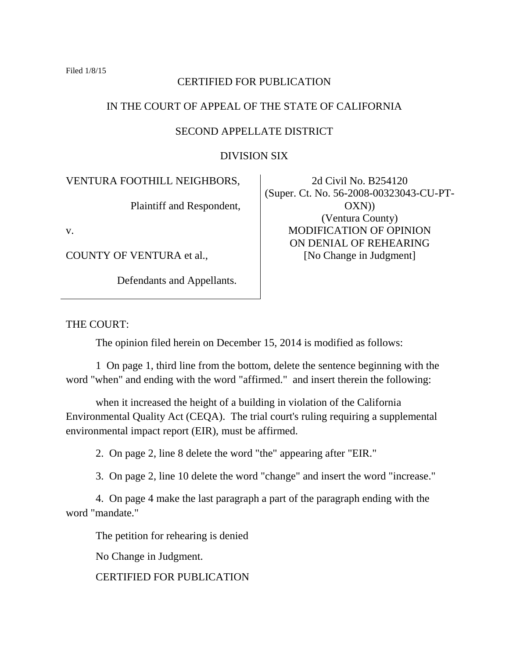## CERTIFIED FOR PUBLICATION

# IN THE COURT OF APPEAL OF THE STATE OF CALIFORNIA

## SECOND APPELLATE DISTRICT

DIVISION SIX

VENTURA FOOTHILL NEIGHBORS,

Plaintiff and Respondent,

v.

COUNTY OF VENTURA et al.,

Defendants and Appellants.

2d Civil No. B254120 (Super. Ct. No. 56-2008-00323043-CU-PT-OXN)) (Ventura County) MODIFICATION OF OPINION ON DENIAL OF REHEARING [No Change in Judgment]

### THE COURT:

The opinion filed herein on December 15, 2014 is modified as follows:

1 On page 1, third line from the bottom, delete the sentence beginning with the word "when" and ending with the word "affirmed." and insert therein the following:

when it increased the height of a building in violation of the California Environmental Quality Act (CEQA). The trial court's ruling requiring a supplemental environmental impact report (EIR), must be affirmed.

2. On page 2, line 8 delete the word "the" appearing after "EIR."

3. On page 2, line 10 delete the word "change" and insert the word "increase."

4. On page 4 make the last paragraph a part of the paragraph ending with the word "mandate."

The petition for rehearing is denied

No Change in Judgment.

CERTIFIED FOR PUBLICATION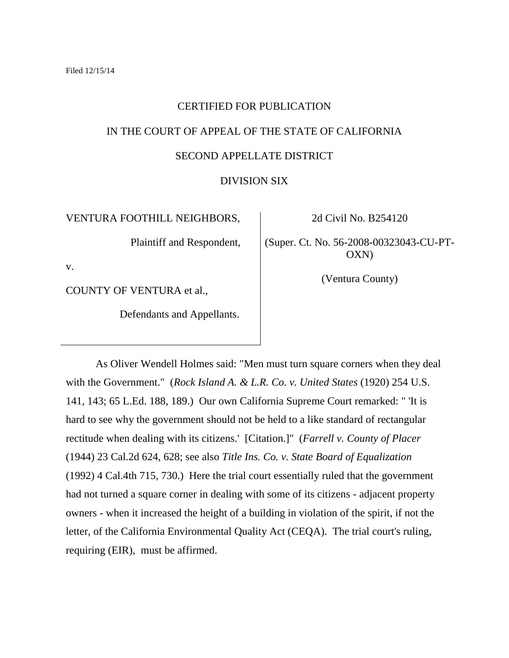## CERTIFIED FOR PUBLICATION

## IN THE COURT OF APPEAL OF THE STATE OF CALIFORNIA

# SECOND APPELLATE DISTRICT

### DIVISION SIX

VENTURA FOOTHILL NEIGHBORS,

Plaintiff and Respondent,

v.

COUNTY OF VENTURA et al.,

Defendants and Appellants.

2d Civil No. B254120

(Super. Ct. No. 56-2008-00323043-CU-PT-OXN)

(Ventura County)

As Oliver Wendell Holmes said: "Men must turn square corners when they deal with the Government." (*Rock Island A. & L.R. Co. v. United States* (1920) 254 U.S. 141, 143; 65 L.Ed. 188, 189.) Our own California Supreme Court remarked: " 'It is hard to see why the government should not be held to a like standard of rectangular rectitude when dealing with its citizens.' [Citation.]" (*Farrell v. County of Placer*  (1944) 23 Cal.2d 624, 628; see also *Title Ins. Co. v. State Board of Equalization*  (1992) 4 Cal.4th 715, 730.) Here the trial court essentially ruled that the government had not turned a square corner in dealing with some of its citizens - adjacent property owners - when it increased the height of a building in violation of the spirit, if not the letter, of the California Environmental Quality Act (CEQA). The trial court's ruling, requiring (EIR), must be affirmed.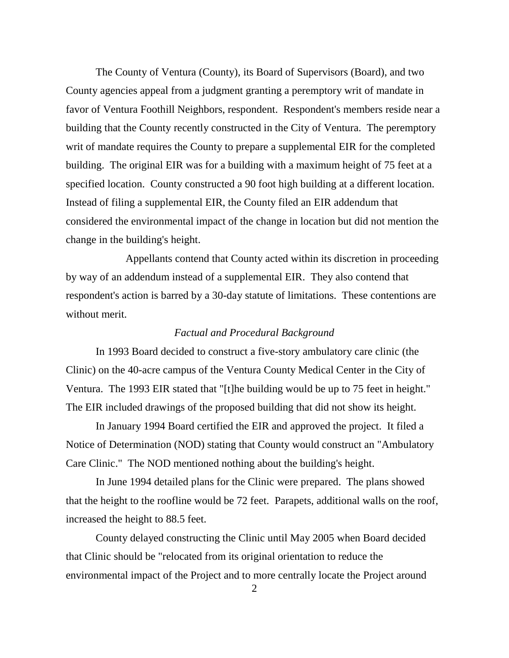The County of Ventura (County), its Board of Supervisors (Board), and two County agencies appeal from a judgment granting a peremptory writ of mandate in favor of Ventura Foothill Neighbors, respondent. Respondent's members reside near a building that the County recently constructed in the City of Ventura. The peremptory writ of mandate requires the County to prepare a supplemental EIR for the completed building. The original EIR was for a building with a maximum height of 75 feet at a specified location. County constructed a 90 foot high building at a different location. Instead of filing a supplemental EIR, the County filed an EIR addendum that considered the environmental impact of the change in location but did not mention the change in the building's height.

Appellants contend that County acted within its discretion in proceeding by way of an addendum instead of a supplemental EIR. They also contend that respondent's action is barred by a 30-day statute of limitations. These contentions are without merit.

## *Factual and Procedural Background*

In 1993 Board decided to construct a five-story ambulatory care clinic (the Clinic) on the 40-acre campus of the Ventura County Medical Center in the City of Ventura. The 1993 EIR stated that "[t]he building would be up to 75 feet in height." The EIR included drawings of the proposed building that did not show its height.

In January 1994 Board certified the EIR and approved the project. It filed a Notice of Determination (NOD) stating that County would construct an "Ambulatory Care Clinic." The NOD mentioned nothing about the building's height.

In June 1994 detailed plans for the Clinic were prepared. The plans showed that the height to the roofline would be 72 feet. Parapets, additional walls on the roof, increased the height to 88.5 feet.

County delayed constructing the Clinic until May 2005 when Board decided that Clinic should be "relocated from its original orientation to reduce the environmental impact of the Project and to more centrally locate the Project around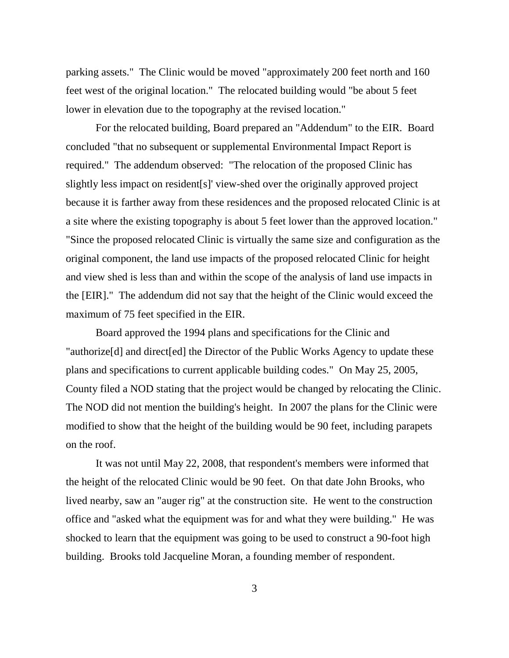parking assets." The Clinic would be moved "approximately 200 feet north and 160 feet west of the original location." The relocated building would "be about 5 feet lower in elevation due to the topography at the revised location."

For the relocated building, Board prepared an "Addendum" to the EIR. Board concluded "that no subsequent or supplemental Environmental Impact Report is required." The addendum observed: "The relocation of the proposed Clinic has slightly less impact on resident[s]' view-shed over the originally approved project because it is farther away from these residences and the proposed relocated Clinic is at a site where the existing topography is about 5 feet lower than the approved location." "Since the proposed relocated Clinic is virtually the same size and configuration as the original component, the land use impacts of the proposed relocated Clinic for height and view shed is less than and within the scope of the analysis of land use impacts in the [EIR]." The addendum did not say that the height of the Clinic would exceed the maximum of 75 feet specified in the EIR.

Board approved the 1994 plans and specifications for the Clinic and "authorize[d] and direct[ed] the Director of the Public Works Agency to update these plans and specifications to current applicable building codes." On May 25, 2005, County filed a NOD stating that the project would be changed by relocating the Clinic. The NOD did not mention the building's height. In 2007 the plans for the Clinic were modified to show that the height of the building would be 90 feet, including parapets on the roof.

It was not until May 22, 2008, that respondent's members were informed that the height of the relocated Clinic would be 90 feet. On that date John Brooks, who lived nearby, saw an "auger rig" at the construction site. He went to the construction office and "asked what the equipment was for and what they were building." He was shocked to learn that the equipment was going to be used to construct a 90-foot high building. Brooks told Jacqueline Moran, a founding member of respondent.

3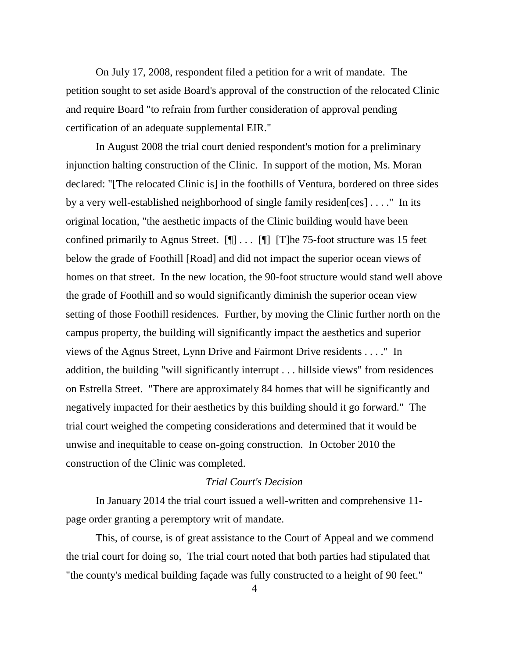On July 17, 2008, respondent filed a petition for a writ of mandate. The petition sought to set aside Board's approval of the construction of the relocated Clinic and require Board "to refrain from further consideration of approval pending certification of an adequate supplemental EIR."

In August 2008 the trial court denied respondent's motion for a preliminary injunction halting construction of the Clinic. In support of the motion, Ms. Moran declared: "[The relocated Clinic is] in the foothills of Ventura, bordered on three sides by a very well-established neighborhood of single family residen[ces] . . . ." In its original location, "the aesthetic impacts of the Clinic building would have been confined primarily to Agnus Street.  $[\P] \dots [\P]$  [T]he 75-foot structure was 15 feet below the grade of Foothill [Road] and did not impact the superior ocean views of homes on that street. In the new location, the 90-foot structure would stand well above the grade of Foothill and so would significantly diminish the superior ocean view setting of those Foothill residences. Further, by moving the Clinic further north on the campus property, the building will significantly impact the aesthetics and superior views of the Agnus Street, Lynn Drive and Fairmont Drive residents . . . ." In addition, the building "will significantly interrupt . . . hillside views" from residences on Estrella Street. "There are approximately 84 homes that will be significantly and negatively impacted for their aesthetics by this building should it go forward." The trial court weighed the competing considerations and determined that it would be unwise and inequitable to cease on-going construction. In October 2010 the construction of the Clinic was completed.

# *Trial Court's Decision*

In January 2014 the trial court issued a well-written and comprehensive 11 page order granting a peremptory writ of mandate.

This, of course, is of great assistance to the Court of Appeal and we commend the trial court for doing so, The trial court noted that both parties had stipulated that "the county's medical building façade was fully constructed to a height of 90 feet."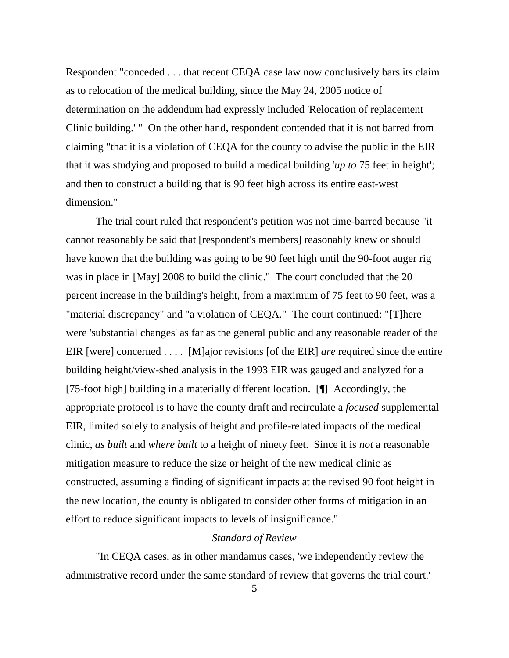Respondent "conceded . . . that recent CEQA case law now conclusively bars its claim as to relocation of the medical building, since the May 24, 2005 notice of determination on the addendum had expressly included 'Relocation of replacement Clinic building.' " On the other hand, respondent contended that it is not barred from claiming "that it is a violation of CEQA for the county to advise the public in the EIR that it was studying and proposed to build a medical building '*up to* 75 feet in height'; and then to construct a building that is 90 feet high across its entire east-west dimension."

The trial court ruled that respondent's petition was not time-barred because "it cannot reasonably be said that [respondent's members] reasonably knew or should have known that the building was going to be 90 feet high until the 90-foot auger rig was in place in [May] 2008 to build the clinic." The court concluded that the 20 percent increase in the building's height, from a maximum of 75 feet to 90 feet, was a "material discrepancy" and "a violation of CEQA." The court continued: "[T]here were 'substantial changes' as far as the general public and any reasonable reader of the EIR [were] concerned . . . . [M]ajor revisions [of the EIR] *are* required since the entire building height/view-shed analysis in the 1993 EIR was gauged and analyzed for a [75-foot high] building in a materially different location. [¶] Accordingly, the appropriate protocol is to have the county draft and recirculate a *focused* supplemental EIR, limited solely to analysis of height and profile-related impacts of the medical clinic, *as built* and *where built* to a height of ninety feet. Since it is *not* a reasonable mitigation measure to reduce the size or height of the new medical clinic as constructed, assuming a finding of significant impacts at the revised 90 foot height in the new location, the county is obligated to consider other forms of mitigation in an effort to reduce significant impacts to levels of insignificance."

#### *Standard of Review*

"In CEQA cases, as in other mandamus cases, 'we independently review the administrative record under the same standard of review that governs the trial court.'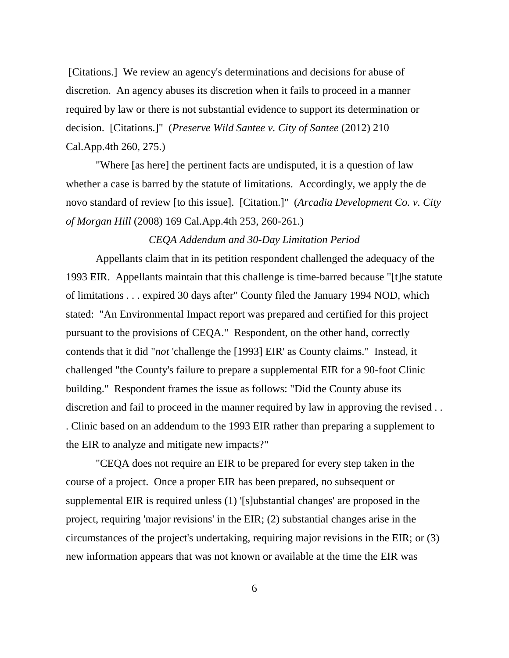[Citations.] We review an agency's determinations and decisions for abuse of discretion. An agency abuses its discretion when it fails to proceed in a manner required by law or there is not substantial evidence to support its determination or decision. [Citations.]" (*Preserve Wild Santee v. City of Santee* (2012) 210 Cal.App.4th 260, 275.)

"Where [as here] the pertinent facts are undisputed, it is a question of law whether a case is barred by the statute of limitations. Accordingly, we apply the de novo standard of review [to this issue]. [Citation.]" (*Arcadia Development Co. v. City of Morgan Hill* (2008) 169 Cal.App.4th 253, 260-261.)

### *CEQA Addendum and 30-Day Limitation Period*

Appellants claim that in its petition respondent challenged the adequacy of the 1993 EIR. Appellants maintain that this challenge is time-barred because "[t]he statute of limitations . . . expired 30 days after" County filed the January 1994 NOD, which stated: "An Environmental Impact report was prepared and certified for this project pursuant to the provisions of CEQA." Respondent, on the other hand, correctly contends that it did "*not* 'challenge the [1993] EIR' as County claims." Instead, it challenged "the County's failure to prepare a supplemental EIR for a 90-foot Clinic building." Respondent frames the issue as follows: "Did the County abuse its discretion and fail to proceed in the manner required by law in approving the revised . . . Clinic based on an addendum to the 1993 EIR rather than preparing a supplement to the EIR to analyze and mitigate new impacts?"

"CEQA does not require an EIR to be prepared for every step taken in the course of a project. Once a proper EIR has been prepared, no subsequent or supplemental EIR is required unless (1) '[s]ubstantial changes' are proposed in the project, requiring 'major revisions' in the EIR; (2) substantial changes arise in the circumstances of the project's undertaking, requiring major revisions in the EIR; or (3) new information appears that was not known or available at the time the EIR was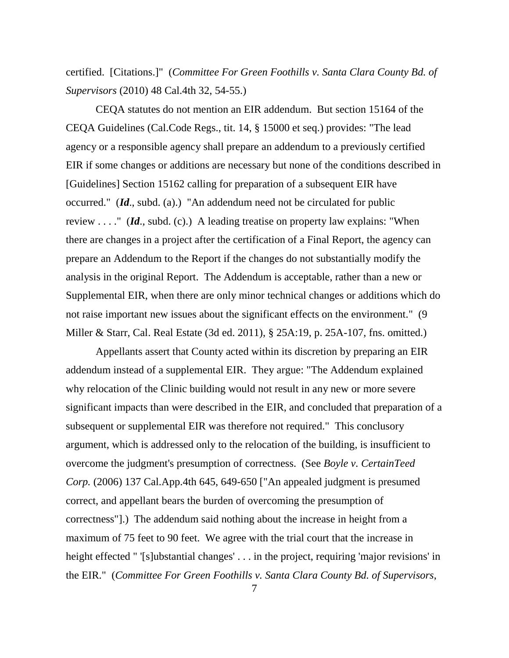certified. [Citations.]" (*Committee For Green Foothills v. Santa Clara County Bd. of Supervisors* (2010) 48 Cal.4th 32, 54-55.)

CEQA statutes do not mention an EIR addendum. But section 15164 of the CEQA Guidelines (Cal.Code Regs., tit. 14, § 15000 et seq.) provides: "The lead agency or a responsible agency shall prepare an addendum to a previously certified EIR if some changes or additions are necessary but none of the conditions described in [Guidelines] Section 15162 calling for preparation of a subsequent EIR have occurred." (*Id*., subd. (a).) "An addendum need not be circulated for public review . . . ." (*Id*., subd. (c).) A leading treatise on property law explains: "When there are changes in a project after the certification of a Final Report, the agency can prepare an Addendum to the Report if the changes do not substantially modify the analysis in the original Report. The Addendum is acceptable, rather than a new or Supplemental EIR, when there are only minor technical changes or additions which do not raise important new issues about the significant effects on the environment." (9 Miller & Starr, Cal. Real Estate (3d ed. 2011), § 25A:19, p. 25A-107, fns. omitted.)

Appellants assert that County acted within its discretion by preparing an EIR addendum instead of a supplemental EIR. They argue: "The Addendum explained why relocation of the Clinic building would not result in any new or more severe significant impacts than were described in the EIR, and concluded that preparation of a subsequent or supplemental EIR was therefore not required." This conclusory argument, which is addressed only to the relocation of the building, is insufficient to overcome the judgment's presumption of correctness. (See *Boyle v. CertainTeed Corp.* (2006) 137 Cal.App.4th 645, 649-650 ["An appealed judgment is presumed correct, and appellant bears the burden of overcoming the presumption of correctness"].) The addendum said nothing about the increase in height from a maximum of 75 feet to 90 feet. We agree with the trial court that the increase in height effected " '[s]ubstantial changes' . . . in the project, requiring 'major revisions' in the EIR." (*Committee For Green Foothills v. Santa Clara County Bd. of Supervisors*,

7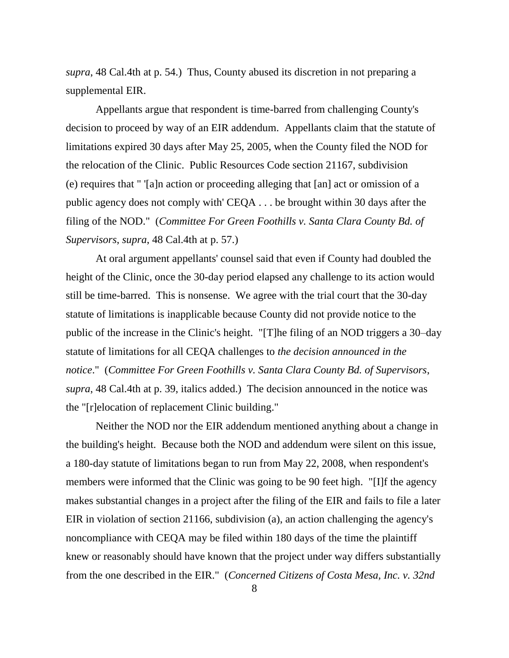*supra*, 48 Cal.4th at p. 54.) Thus, County abused its discretion in not preparing a supplemental EIR.

Appellants argue that respondent is time-barred from challenging County's decision to proceed by way of an EIR addendum. Appellants claim that the statute of limitations expired 30 days after May 25, 2005, when the County filed the NOD for the relocation of the Clinic. Public Resources Code section 21167, subdivision (e) requires that " '[a]n action or proceeding alleging that [an] act or omission of a public agency does not comply with' CEQA . . . be brought within 30 days after the filing of the NOD." (*Committee For Green Foothills v. Santa Clara County Bd. of Supervisors*, *supra*, 48 Cal.4th at p. 57.)

At oral argument appellants' counsel said that even if County had doubled the height of the Clinic, once the 30-day period elapsed any challenge to its action would still be time-barred. This is nonsense. We agree with the trial court that the 30-day statute of limitations is inapplicable because County did not provide notice to the public of the increase in the Clinic's height. "[T]he filing of an NOD triggers a 30–day statute of limitations for all CEQA challenges to *the decision announced in the notice*." (*Committee For Green Foothills v. Santa Clara County Bd. of Supervisors*, *supra*, 48 Cal.4th at p. 39, italics added.) The decision announced in the notice was the "[r]elocation of replacement Clinic building."

Neither the NOD nor the EIR addendum mentioned anything about a change in the building's height. Because both the NOD and addendum were silent on this issue, a 180-day statute of limitations began to run from May 22, 2008, when respondent's members were informed that the Clinic was going to be 90 feet high. "[I]f the agency makes substantial changes in a project after the filing of the EIR and fails to file a later EIR in violation of section 21166, subdivision (a), an action challenging the agency's noncompliance with CEQA may be filed within 180 days of the time the plaintiff knew or reasonably should have known that the project under way differs substantially from the one described in the EIR." (*Concerned Citizens of Costa Mesa, Inc. v. 32nd*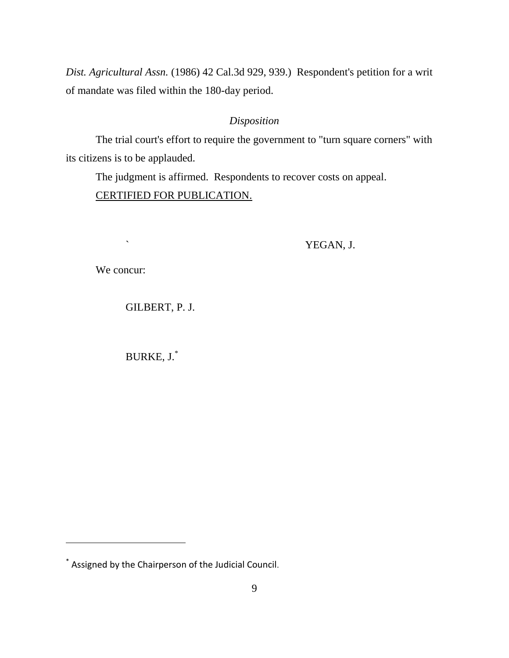*Dist. Agricultural Assn.* (1986) 42 Cal.3d 929, 939.) Respondent's petition for a writ of mandate was filed within the 180-day period.

# *Disposition*

The trial court's effort to require the government to "turn square corners" with its citizens is to be applauded.

The judgment is affirmed. Respondents to recover costs on appeal.

# CERTIFIED FOR PUBLICATION.

` YEGAN, J.

We concur:

 $\overline{a}$ 

# GILBERT, P. J.

BURKE, J.\*

<sup>\*</sup> Assigned by the Chairperson of the Judicial Council.